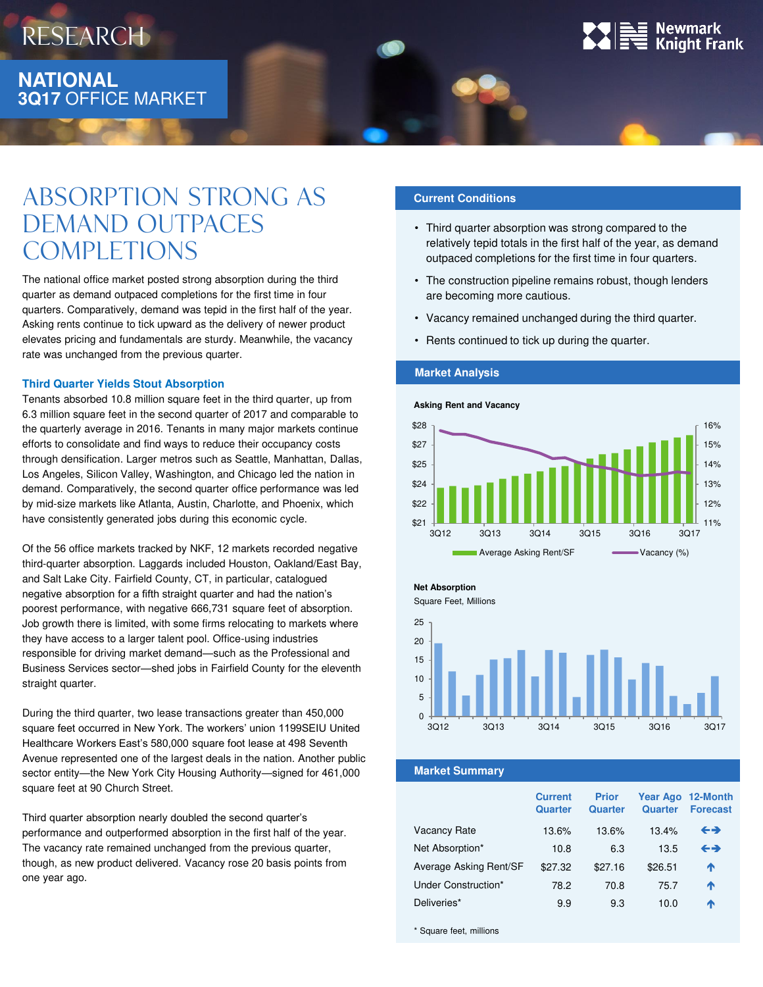

## Absorption strong as demand outpaces **COMPLETIONS**

The national office market posted strong absorption during the third quarter as demand outpaced completions for the first time in four quarters. Comparatively, demand was tepid in the first half of the year. Asking rents continue to tick upward as the delivery of newer product elevates pricing and fundamentals are sturdy. Meanwhile, the vacancy rate was unchanged from the previous quarter.

#### **Third Quarter Yields Stout Absorption**

Tenants absorbed 10.8 million square feet in the third quarter, up from 6.3 million square feet in the second quarter of 2017 and comparable to the quarterly average in 2016. Tenants in many major markets continue efforts to consolidate and find ways to reduce their occupancy costs through densification. Larger metros such as Seattle, Manhattan, Dallas, Los Angeles, Silicon Valley, Washington, and Chicago led the nation in demand. Comparatively, the second quarter office performance was led by mid-size markets like Atlanta, Austin, Charlotte, and Phoenix, which have consistently generated jobs during this economic cycle.

Of the 56 office markets tracked by NKF, 12 markets recorded negative third-quarter absorption. Laggards included Houston, Oakland/East Bay, and Salt Lake City. Fairfield County, CT, in particular, catalogued negative absorption for a fifth straight quarter and had the nation's poorest performance, with negative 666,731 square feet of absorption. Job growth there is limited, with some firms relocating to markets where they have access to a larger talent pool. Office-using industries responsible for driving market demand—such as the Professional and Business Services sector—shed jobs in Fairfield County for the eleventh straight quarter.

During the third quarter, two lease transactions greater than 450,000 square feet occurred in New York. The workers' union 1199SEIU United Healthcare Workers East's 580,000 square foot lease at 498 Seventh Avenue represented one of the largest deals in the nation. Another public sector entity—the New York City Housing Authority—signed for 461,000 square feet at 90 Church Street.

Third quarter absorption nearly doubled the second quarter's performance and outperformed absorption in the first half of the year. The vacancy rate remained unchanged from the previous quarter, though, as new product delivered. Vacancy rose 20 basis points from one year ago.

### **Current Conditions**

- Third quarter absorption was strong compared to the relatively tepid totals in the first half of the year, as demand outpaced completions for the first time in four quarters.
- The construction pipeline remains robust, though lenders are becoming more cautious.
- Vacancy remained unchanged during the third quarter.
- Rents continued to tick up during the quarter.

#### **Market Analysis**





**Net Absorption**

Square Feet, Millions



**Market Summary**

|                        | <b>Current</b><br>Quarter | <b>Prior</b><br>Quarter | Quarter | Year Ago 12-Month<br><b>Forecast</b> |
|------------------------|---------------------------|-------------------------|---------|--------------------------------------|
| Vacancy Rate           | 13.6%                     | 13.6%                   | 13.4%   | ←→                                   |
| Net Absorption*        | 10.8                      | 6.3                     | 13.5    | ←→                                   |
| Average Asking Rent/SF | \$27.32                   | \$27.16                 | \$26.51 | ↑                                    |
| Under Construction*    | 78.2                      | 70.8                    | 75.7    | ♠                                    |
| Deliveries*            | 9.9                       | 9.3                     | 10.0    | Ϋ                                    |
|                        |                           |                         |         |                                      |

\* Square feet, millions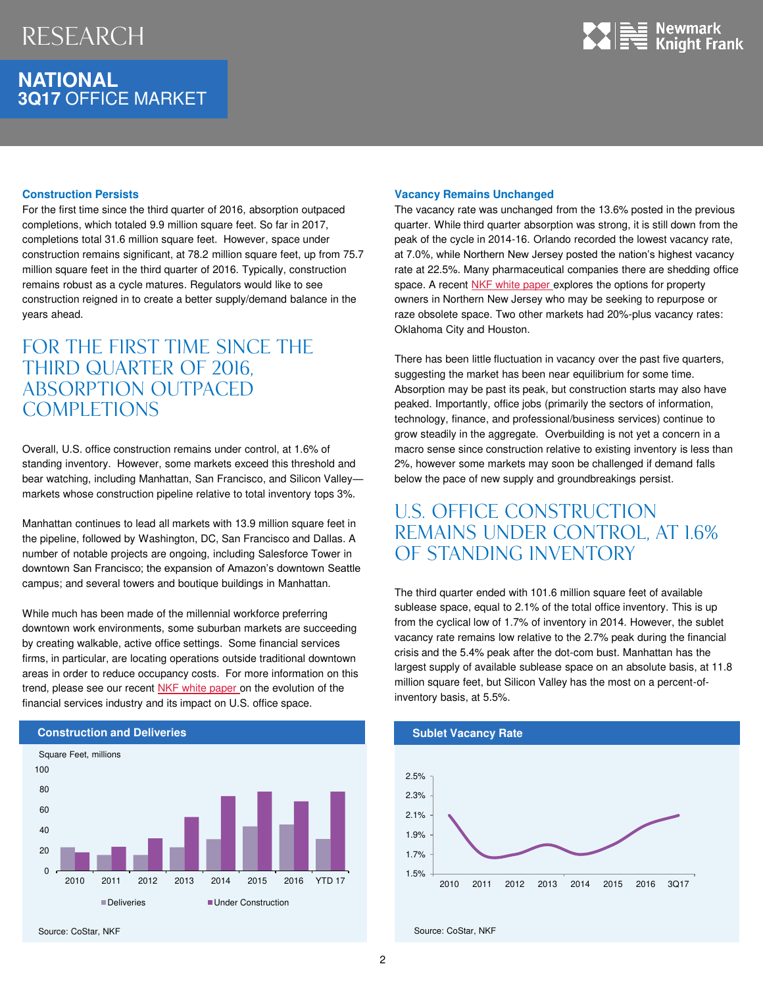## **NATIONAL 3Q17** OFFICE MARKET



#### **Construction Persists**

For the first time since the third quarter of 2016, absorption outpaced completions, which totaled 9.9 million square feet. So far in 2017, completions total 31.6 million square feet. However, space under construction remains significant, at 78.2 million square feet, up from 75.7 million square feet in the third quarter of 2016. Typically, construction remains robust as a cycle matures. Regulators would like to see construction reigned in to create a better supply/demand balance in the years ahead.

## FOR THE FIRST TIME SINCE THE THIRD QUARTER OF 2016, absorption outpaced **COMPLETIONS**

Overall, U.S. office construction remains under control, at 1.6% of standing inventory. However, some markets exceed this threshold and bear watching, including Manhattan, San Francisco, and Silicon Valley markets whose construction pipeline relative to total inventory tops 3%.

Manhattan continues to lead all markets with 13.9 million square feet in the pipeline, followed by Washington, DC, San Francisco and Dallas. A number of notable projects are ongoing, including Salesforce Tower in downtown San Francisco; the expansion of Amazon's downtown Seattle campus; and several towers and boutique buildings in Manhattan.

While much has been made of the millennial workforce preferring downtown work environments, some suburban markets are succeeding by creating walkable, active office settings. Some financial services firms, in particular, are locating operations outside traditional downtown areas in order to reduce occupancy costs. For more information on this trend, please see our recent [NKF white paper](http://www.ngkf.com/Uploads/FileManager/NGKF_Financial_Services_White_Paper.pdf) on the evolution of the financial services industry and its impact on U.S. office space.



#### **Vacancy Remains Unchanged**

The vacancy rate was unchanged from the 13.6% posted in the previous quarter. While third quarter absorption was strong, it is still down from the peak of the cycle in 2014-16. Orlando recorded the lowest vacancy rate, at 7.0%, while Northern New Jersey posted the nation's highest vacancy rate at 22.5%. Many pharmaceutical companies there are shedding office space. A recent [NKF white paper](http://www.ngkf.com/Uploads/FileManager/NGKF-White-Paper-Suburban-Office-Obsolescence.pdf) explores the options for property owners in Northern New Jersey who may be seeking to repurpose or raze obsolete space. Two other markets had 20%-plus vacancy rates: Oklahoma City and Houston.

There has been little fluctuation in vacancy over the past five quarters, suggesting the market has been near equilibrium for some time. Absorption may be past its peak, but construction starts may also have peaked. Importantly, office jobs (primarily the sectors of information, technology, finance, and professional/business services) continue to grow steadily in the aggregate. Overbuilding is not yet a concern in a macro sense since construction relative to existing inventory is less than 2%, however some markets may soon be challenged if demand falls below the pace of new supply and groundbreakings persist.

## U.S. office construction remains under control, at 1.6% of standing inventory

The third quarter ended with 101.6 million square feet of available sublease space, equal to 2.1% of the total office inventory. This is up from the cyclical low of 1.7% of inventory in 2014. However, the sublet vacancy rate remains low relative to the 2.7% peak during the financial crisis and the 5.4% peak after the dot-com bust. Manhattan has the largest supply of available sublease space on an absolute basis, at 11.8 million square feet, but Silicon Valley has the most on a percent-ofinventory basis, at 5.5%.



Source: CoStar, NKF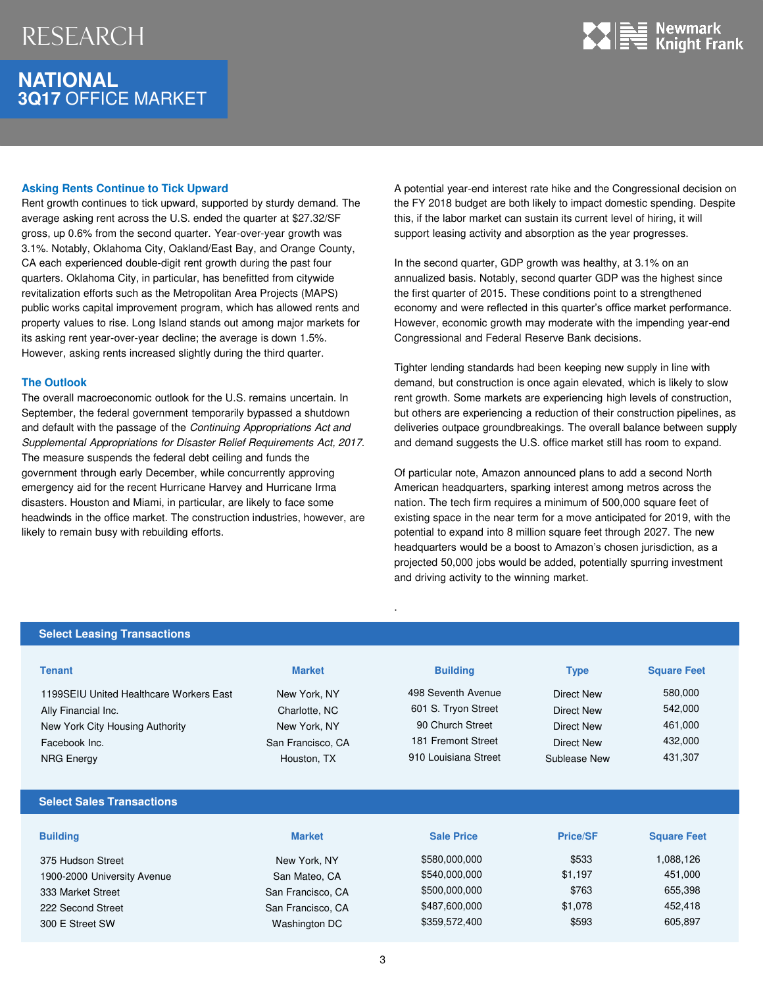## **NATIONAL 3Q17** OFFICE MARKET



#### **Asking Rents Continue to Tick Upward**

Rent growth continues to tick upward, supported by sturdy demand. The average asking rent across the U.S. ended the quarter at \$27.32/SF gross, up 0.6% from the second quarter. Year-over-year growth was 3.1%. Notably, Oklahoma City, Oakland/East Bay, and Orange County, CA each experienced double-digit rent growth during the past four quarters. Oklahoma City, in particular, has benefitted from citywide revitalization efforts such as the Metropolitan Area Projects (MAPS) public works capital improvement program, which has allowed rents and property values to rise. Long Island stands out among major markets for its asking rent year-over-year decline; the average is down 1.5%. However, asking rents increased slightly during the third quarter.

#### **The Outlook**

The overall macroeconomic outlook for the U.S. remains uncertain. In September, the federal government temporarily bypassed a shutdown and default with the passage of the Continuing Appropriations Act and Supplemental Appropriations for Disaster Relief Requirements Act, 2017. The measure suspends the federal debt ceiling and funds the government through early December, while concurrently approving emergency aid for the recent Hurricane Harvey and Hurricane Irma disasters. Houston and Miami, in particular, are likely to face some headwinds in the office market. The construction industries, however, are likely to remain busy with rebuilding efforts.

A potential year-end interest rate hike and the Congressional decision on the FY 2018 budget are both likely to impact domestic spending. Despite this, if the labor market can sustain its current level of hiring, it will support leasing activity and absorption as the year progresses.

In the second quarter, GDP growth was healthy, at 3.1% on an annualized basis. Notably, second quarter GDP was the highest since the first quarter of 2015. These conditions point to a strengthened economy and were reflected in this quarter's office market performance. However, economic growth may moderate with the impending year-end Congressional and Federal Reserve Bank decisions.

Tighter lending standards had been keeping new supply in line with demand, but construction is once again elevated, which is likely to slow rent growth. Some markets are experiencing high levels of construction, but others are experiencing a reduction of their construction pipelines, as deliveries outpace groundbreakings. The overall balance between supply and demand suggests the U.S. office market still has room to expand.

Of particular note, Amazon announced plans to add a second North American headquarters, sparking interest among metros across the nation. The tech firm requires a minimum of 500,000 square feet of existing space in the near term for a move anticipated for 2019, with the potential to expand into 8 million square feet through 2027. The new headquarters would be a boost to Amazon's chosen jurisdiction, as a projected 50,000 jobs would be added, potentially spurring investment and driving activity to the winning market.

#### **Select Leasing Transactions**

| <b>Tenant</b>                           | <b>Market</b>     | <b>Building</b>      | <b>Type</b>       | <b>Square Feet</b> |  |
|-----------------------------------------|-------------------|----------------------|-------------------|--------------------|--|
| 1199SEIU United Healthcare Workers East | New York, NY      | 498 Seventh Avenue   | <b>Direct New</b> | 580,000            |  |
| Ally Financial Inc.                     | Charlotte, NC     | 601 S. Tryon Street  | <b>Direct New</b> | 542,000            |  |
| New York City Housing Authority         | New York, NY      | 90 Church Street     | <b>Direct New</b> | 461,000            |  |
| Facebook Inc.                           | San Francisco, CA | 181 Fremont Street   | <b>Direct New</b> | 432,000            |  |
| <b>NRG Energy</b>                       | Houston, TX       | 910 Louisiana Street | Sublease New      | 431,307            |  |
|                                         |                   |                      |                   |                    |  |
| <b>Select Sales Transactions</b>        |                   |                      |                   |                    |  |
|                                         |                   |                      |                   |                    |  |
| <b>Building</b>                         | <b>Market</b>     | <b>Sale Price</b>    | <b>Price/SF</b>   | <b>Square Feet</b> |  |
| 375 Hudson Street                       | New York, NY      | \$580,000,000        | \$533             | 1,088,126          |  |
| 1900-2000 University Avenue             | San Mateo, CA     | \$540,000,000        | \$1,197           | 451,000            |  |
| 333 Market Street                       | San Francisco, CA | \$500,000,000        | \$763             | 655,398            |  |
| 222 Second Street                       | San Francisco, CA | \$487,600,000        | \$1,078           | 452,418            |  |
| 300 E Street SW                         | Washington DC     | \$359,572,400        | \$593             | 605,897            |  |
|                                         |                   |                      |                   |                    |  |

.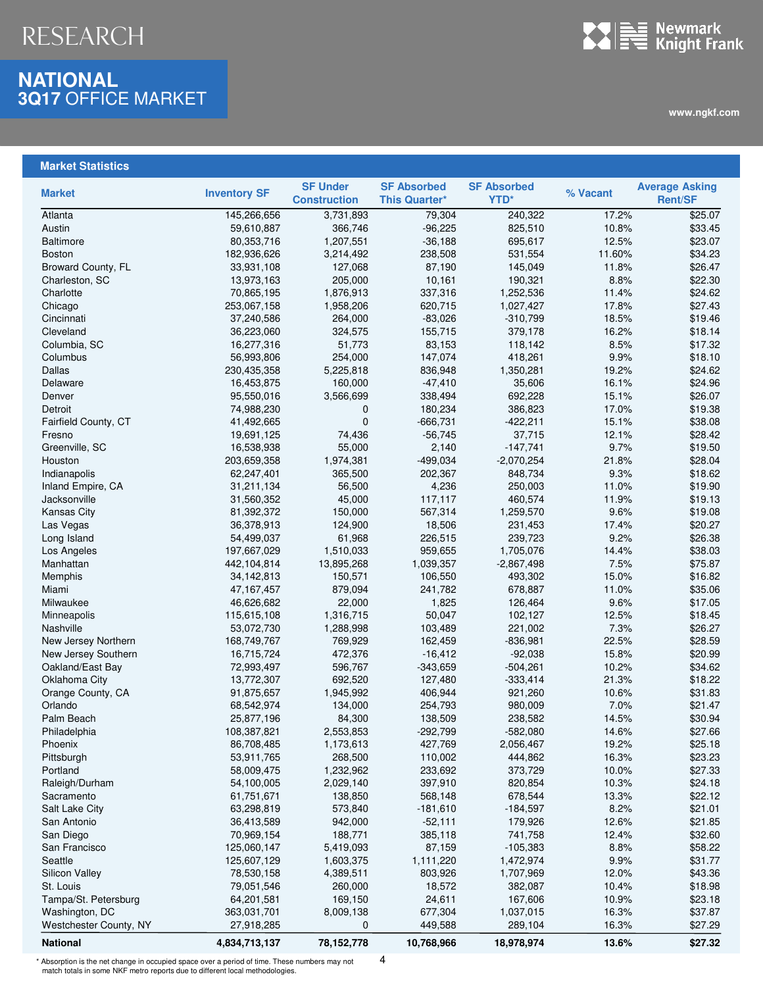### **NATIONAL 3Q17** OFFICE MARKET



**www.ngkf.com**

### **Market Statistics**

| <b>Market</b>          | <b>Inventory SF</b>      | <b>SF Under</b><br><b>Construction</b> | <b>SF Absorbed</b><br><b>This Quarter*</b> | <b>SF Absorbed</b><br>YTD* | % Vacant       | <b>Average Asking</b><br><b>Rent/SF</b> |
|------------------------|--------------------------|----------------------------------------|--------------------------------------------|----------------------------|----------------|-----------------------------------------|
| Atlanta                | 145,266,656              | 3,731,893                              | 79,304                                     | 240,322                    | 17.2%          | \$25.07                                 |
| Austin                 | 59,610,887               | 366,746                                | $-96,225$                                  | 825,510                    | 10.8%          | \$33.45                                 |
| <b>Baltimore</b>       | 80,353,716               | 1,207,551                              | $-36,188$                                  | 695,617                    | 12.5%          | \$23.07                                 |
| <b>Boston</b>          | 182,936,626              | 3,214,492                              | 238,508                                    | 531,554                    | 11.60%         | \$34.23                                 |
| Broward County, FL     | 33,931,108               | 127,068                                | 87,190                                     | 145,049                    | 11.8%          | \$26.47                                 |
| Charleston, SC         | 13,973,163               | 205,000                                | 10,161                                     | 190,321                    | 8.8%           | \$22.30                                 |
| Charlotte              | 70,865,195               | 1,876,913                              | 337,316                                    | 1,252,536                  | 11.4%          | \$24.62                                 |
| Chicago                | 253,067,158              | 1,958,206                              | 620,715                                    | 1,027,427                  | 17.8%          | \$27.43                                 |
| Cincinnati             | 37,240,586               | 264,000                                | $-83,026$                                  | $-310,799$                 | 18.5%          | \$19.46                                 |
| Cleveland              | 36,223,060               | 324,575                                | 155,715                                    | 379,178                    | 16.2%          | \$18.14                                 |
| Columbia, SC           | 16,277,316               | 51,773                                 | 83,153                                     | 118,142                    | 8.5%           | \$17.32                                 |
| Columbus               | 56,993,806               | 254,000                                | 147,074                                    | 418,261                    | 9.9%           | \$18.10                                 |
| Dallas                 |                          |                                        | 836,948                                    |                            | 19.2%          | \$24.62                                 |
|                        | 230,435,358              | 5,225,818                              |                                            | 1,350,281                  |                |                                         |
| Delaware<br>Denver     | 16,453,875<br>95,550,016 | 160,000<br>3,566,699                   | $-47,410$<br>338,494                       | 35,606<br>692,228          | 16.1%<br>15.1% | \$24.96<br>\$26.07                      |
|                        |                          |                                        |                                            |                            |                |                                         |
| Detroit                | 74,988,230               | $\mathbf{0}$                           | 180,234                                    | 386,823                    | 17.0%          | \$19.38                                 |
| Fairfield County, CT   | 41,492,665               | $\mathbf 0$                            | $-666,731$                                 | $-422,211$                 | 15.1%          | \$38.08                                 |
| Fresno                 | 19,691,125               | 74,436                                 | $-56,745$                                  | 37,715                     | 12.1%          | \$28.42                                 |
| Greenville, SC         | 16,538,938               | 55,000                                 | 2,140                                      | $-147,741$                 | 9.7%           | \$19.50                                 |
| Houston                | 203,659,358              | 1,974,381                              | $-499,034$                                 | $-2,070,254$               | 21.8%          | \$28.04                                 |
| Indianapolis           | 62,247,401               | 365,500                                | 202,367                                    | 848,734                    | 9.3%           | \$18.62                                 |
| Inland Empire, CA      | 31,211,134               | 56,500                                 | 4,236                                      | 250,003                    | 11.0%          | \$19.90                                 |
| Jacksonville           | 31,560,352               | 45,000                                 | 117,117                                    | 460,574                    | 11.9%          | \$19.13                                 |
| <b>Kansas City</b>     | 81,392,372               | 150,000                                | 567,314                                    | 1,259,570                  | 9.6%           | \$19.08                                 |
| Las Vegas              | 36,378,913               | 124,900                                | 18,506                                     | 231,453                    | 17.4%          | \$20.27                                 |
| Long Island            | 54,499,037               | 61,968                                 | 226,515                                    | 239,723                    | 9.2%           | \$26.38                                 |
| Los Angeles            | 197,667,029              | 1,510,033                              | 959,655                                    | 1,705,076                  | 14.4%          | \$38.03                                 |
| Manhattan              | 442,104,814              | 13,895,268                             | 1,039,357                                  | $-2,867,498$               | 7.5%           | \$75.87                                 |
| Memphis                | 34,142,813               | 150,571                                | 106,550                                    | 493,302                    | 15.0%          | \$16.82                                 |
| Miami                  | 47, 167, 457             | 879,094                                | 241,782                                    | 678,887                    | 11.0%          | \$35.06                                 |
| Milwaukee              | 46,626,682               | 22,000                                 | 1,825                                      | 126,464                    | 9.6%           | \$17.05                                 |
| Minneapolis            | 115,615,108              | 1,316,715                              | 50,047                                     | 102,127                    | 12.5%          | \$18.45                                 |
| Nashville              | 53,072,730               | 1,288,998                              | 103,489                                    | 221,002                    | 7.3%           | \$26.27                                 |
| New Jersey Northern    | 168,749,767              | 769,929                                | 162,459                                    | $-836,981$                 | 22.5%          | \$28.59                                 |
| New Jersey Southern    | 16,715,724               | 472,376                                | $-16,412$                                  | $-92,038$                  | 15.8%          | \$20.99                                 |
| Oakland/East Bay       | 72,993,497               | 596,767                                | $-343,659$                                 | $-504,261$                 | 10.2%          | \$34.62                                 |
| Oklahoma City          | 13,772,307               | 692,520                                | 127,480                                    | $-333,414$                 | 21.3%          | \$18.22                                 |
| Orange County, CA      | 91,875,657               | 1,945,992                              | 406,944                                    | 921,260                    | 10.6%          | \$31.83                                 |
| Orlando                | 68,542,974               | 134,000                                | 254,793                                    | 980,009                    | 7.0%           | \$21.47                                 |
| Palm Beach             | 25,877,196               | 84,300                                 | 138,509                                    | 238,582                    | 14.5%          | \$30.94                                 |
| Philadelphia           | 108,387,821              | 2,553,853                              | $-292,799$                                 | $-582,080$                 | 14.6%          | \$27.66                                 |
| Phoenix                | 86,708,485               | 1,173,613                              | 427,769                                    | 2,056,467                  | 19.2%          | \$25.18                                 |
| Pittsburgh             | 53,911,765               | 268,500                                | 110,002                                    | 444,862                    | 16.3%          | \$23.23                                 |
| Portland               | 58,009,475               | 1,232,962                              | 233,692                                    | 373,729                    | 10.0%          | \$27.33                                 |
| Raleigh/Durham         | 54,100,005               | 2,029,140                              | 397,910                                    | 820,854                    | 10.3%          | \$24.18                                 |
| Sacramento             | 61,751,671               | 138,850                                | 568,148                                    | 678,544                    | 13.3%          | \$22.12                                 |
| Salt Lake City         | 63,298,819               | 573,840                                | $-181,610$                                 | $-184,597$                 | 8.2%           | \$21.01                                 |
| San Antonio            | 36,413,589               | 942,000                                | $-52,111$                                  | 179,926                    | 12.6%          | \$21.85                                 |
| San Diego              | 70,969,154               | 188,771                                | 385,118                                    | 741,758                    | 12.4%          | \$32.60                                 |
| San Francisco          | 125,060,147              | 5,419,093                              | 87,159                                     | $-105,383$                 | 8.8%           | \$58.22                                 |
| Seattle                | 125,607,129              | 1,603,375                              | 1,111,220                                  | 1,472,974                  | 9.9%           | \$31.77                                 |
| <b>Silicon Valley</b>  | 78,530,158               | 4,389,511                              | 803,926                                    | 1,707,969                  | 12.0%          | \$43.36                                 |
| St. Louis              | 79,051,546               | 260,000                                | 18,572                                     | 382,087                    | 10.4%          | \$18.98                                 |
| Tampa/St. Petersburg   | 64,201,581               | 169,150                                | 24,611                                     | 167,606                    | 10.9%          | \$23.18                                 |
| Washington, DC         | 363,031,701              | 8,009,138                              | 677,304                                    | 1,037,015                  | 16.3%          | \$37.87                                 |
| Westchester County, NY | 27,918,285               | 0                                      | 449,588                                    | 289,104                    | 16.3%          | \$27.29                                 |
|                        |                          |                                        |                                            |                            |                |                                         |
| <b>National</b>        | 4,834,713,137            | 78,152,778                             | 10,768,966                                 | 18,978,974                 | 13.6%          | \$27.32                                 |

\* Absorption is the net change in occupied space over a period of time. These numbers may not match totals in some NKF metro reports due to different local methodologies.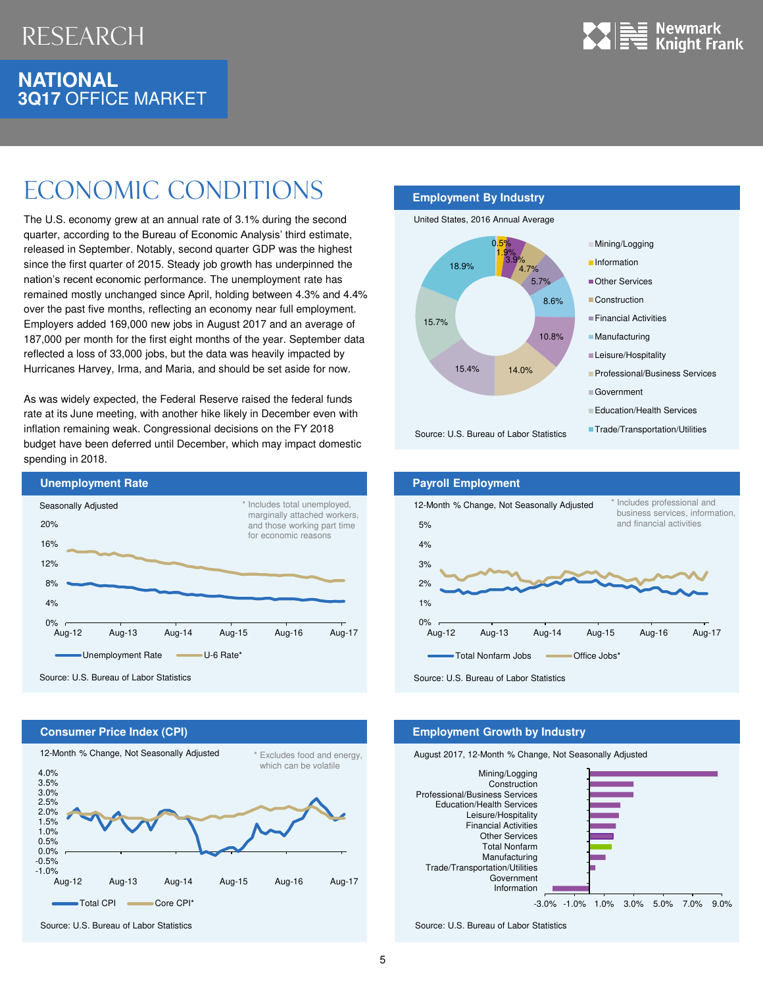

### **NATIONAL 3Q17** OFFICE MARKET

# Economic Conditions

The U.S. economy grew at an annual rate of 3.1% during the second quarter, according to the Bureau of Economic Analysis' third estimate, released in September. Notably, second quarter GDP was the highest since the first quarter of 2015. Steady job growth has underpinned the nation's recent economic performance. The unemployment rate has remained mostly unchanged since April, holding between 4.3% and 4.4% over the past five months, reflecting an economy near full employment. Employers added 169,000 new jobs in August 2017 and an average of 187,000 per month for the first eight months of the year. September data reflected a loss of 33,000 jobs, but the data was heavily impacted by Hurricanes Harvey, Irma, and Maria, and should be set aside for now.

As was widely expected, the Federal Reserve raised the federal funds rate at its June meeting, with another hike likely in December even with inflation remaining weak. Congressional decisions on the FY 2018 budget have been deferred until December, which may impact domestic spending in 2018.



#### **Employment By Industry**







#### **Consumer Price Index (CPI) Employment Growth by Industry** -1.0% -0.5% 0.0% 0.5% 1.0% 1.5% 2.0% 2.5% 3.0% 3.5% 4.0% Aug-12 Aug-13 Aug-14 Aug-15 Aug-16 Aug-17 Total CPI Core CPI<sup>\*</sup> 12-Month % Change, Not Seasonally Adjusted \* Excludes food and energy, which can be volatile

Source: U.S. Bureau of Labor Statistics



Source: U.S. Bureau of Labor Statistics